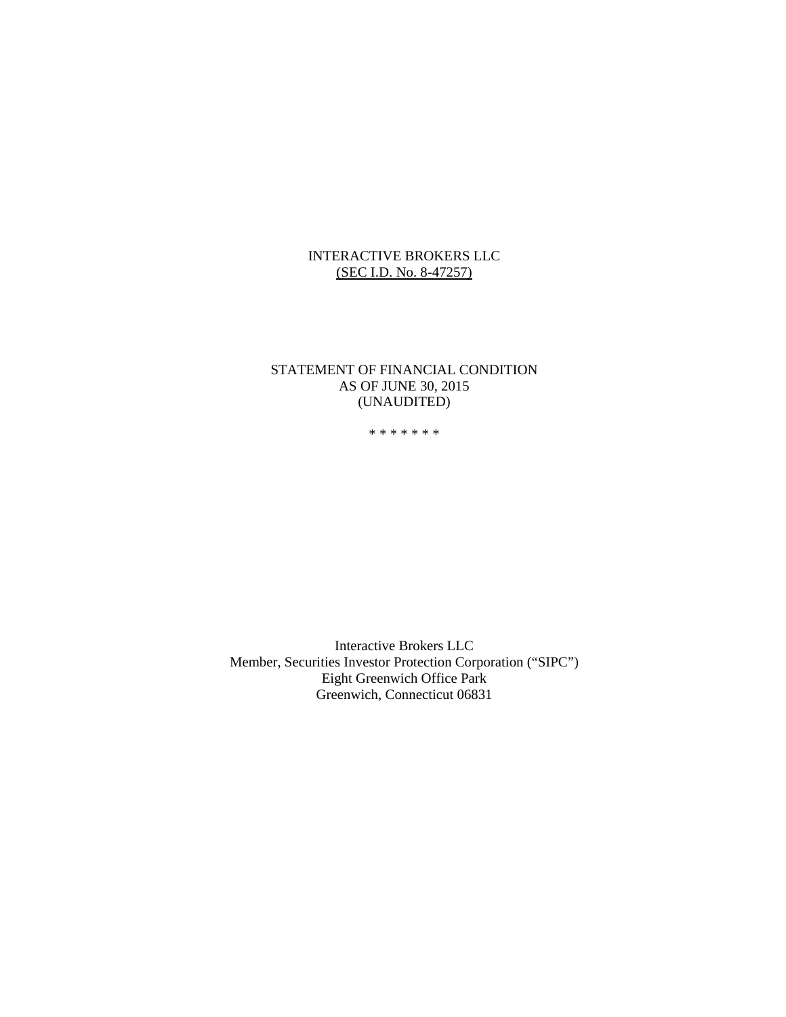# INTERACTIVE BROKERS LLC (SEC I.D. No. 8-47257)

#### STATEMENT OF FINANCIAL CONDITION AS OF JUNE 30, 2015 (UNAUDITED)

\* \* \* \* \* \* \*

Interactive Brokers LLC Member, Securities Investor Protection Corporation ("SIPC") Eight Greenwich Office Park Greenwich, Connecticut 06831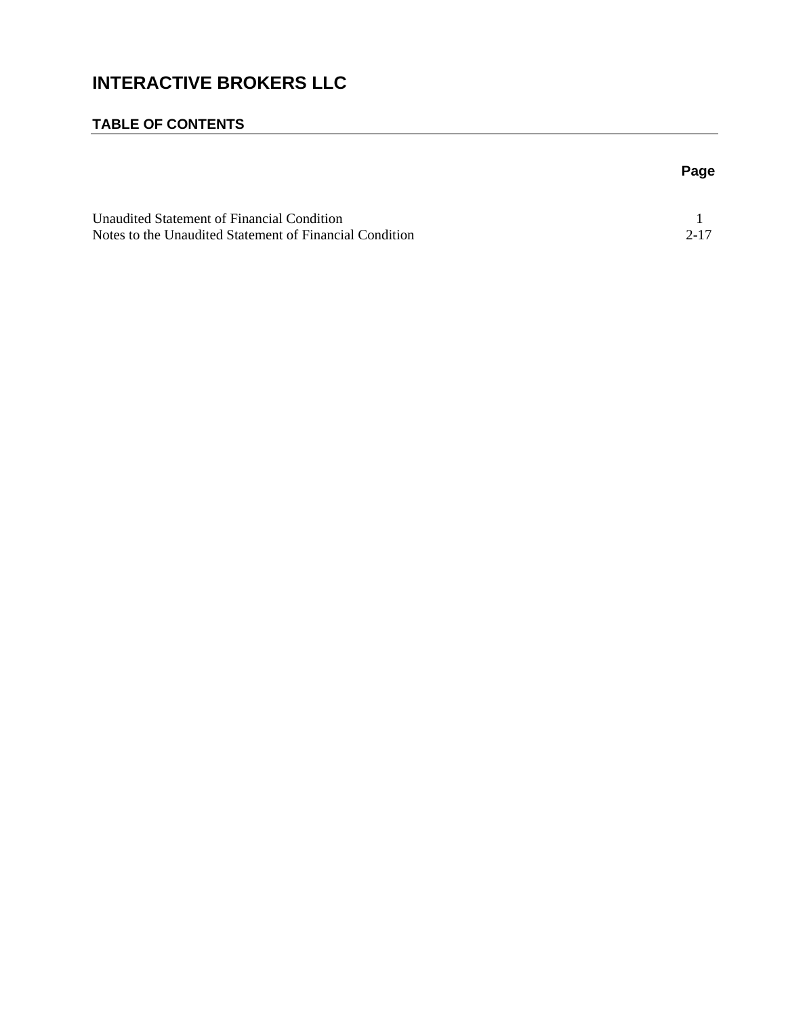# **INTERACTIVE BROKERS LLC**

# **TABLE OF CONTENTS**

| ×<br>۰.<br>w<br>۰. |
|--------------------|
|--------------------|

| Unaudited Statement of Financial Condition              |      |
|---------------------------------------------------------|------|
| Notes to the Unaudited Statement of Financial Condition | 2-17 |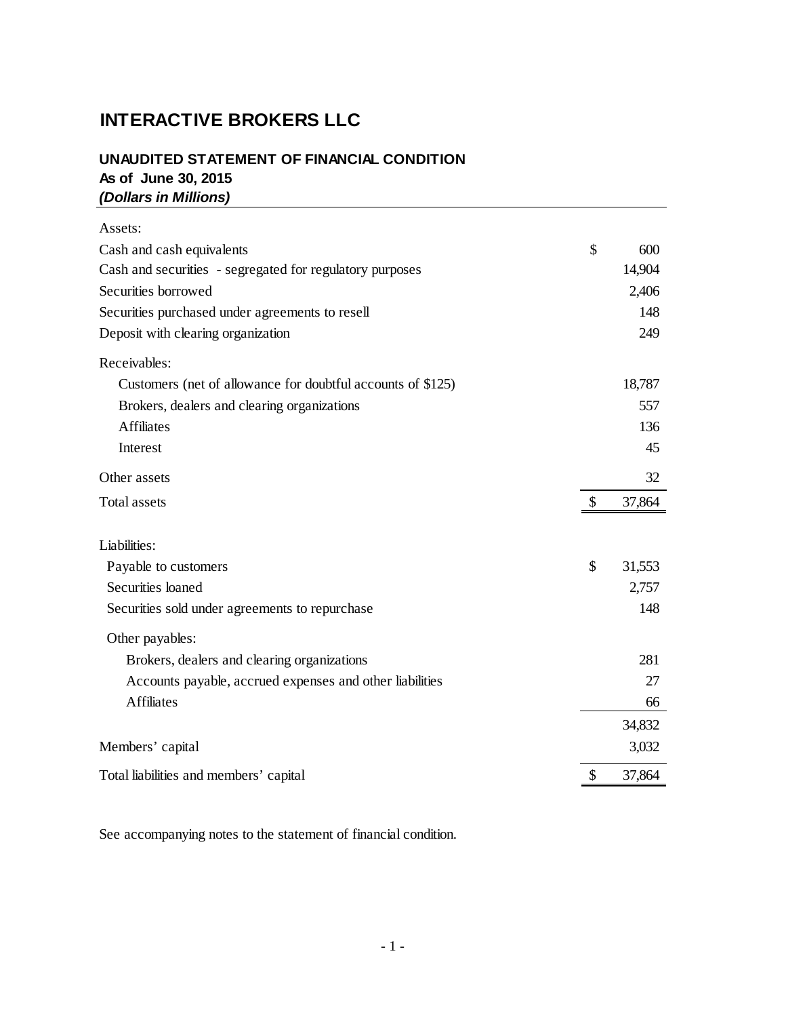# **INTERACTIVE BROKERS LLC**

# **UNAUDITED STATEMENT OF FINANCIAL CONDITION As of June 30, 2015** *(Dollars in Millions)*

| Assets:                                                     |               |        |
|-------------------------------------------------------------|---------------|--------|
| Cash and cash equivalents                                   | \$            | 600    |
| Cash and securities - segregated for regulatory purposes    |               | 14,904 |
| Securities borrowed                                         |               | 2,406  |
| Securities purchased under agreements to resell             |               | 148    |
| Deposit with clearing organization                          |               | 249    |
| Receivables:                                                |               |        |
| Customers (net of allowance for doubtful accounts of \$125) |               | 18,787 |
| Brokers, dealers and clearing organizations                 |               | 557    |
| <b>Affiliates</b>                                           |               | 136    |
| Interest                                                    |               | 45     |
| Other assets                                                |               | 32     |
| <b>Total assets</b>                                         | $\mathcal{S}$ | 37,864 |
| Liabilities:                                                |               |        |
| Payable to customers                                        | \$            | 31,553 |
| Securities loaned                                           |               | 2,757  |
| Securities sold under agreements to repurchase              |               | 148    |
| Other payables:                                             |               |        |
| Brokers, dealers and clearing organizations                 |               | 281    |
| Accounts payable, accrued expenses and other liabilities    |               | 27     |
| <b>Affiliates</b>                                           |               | 66     |
|                                                             |               | 34,832 |
| Members' capital                                            |               | 3,032  |
| Total liabilities and members' capital                      | \$            | 37,864 |

See accompanying notes to the statement of financial condition.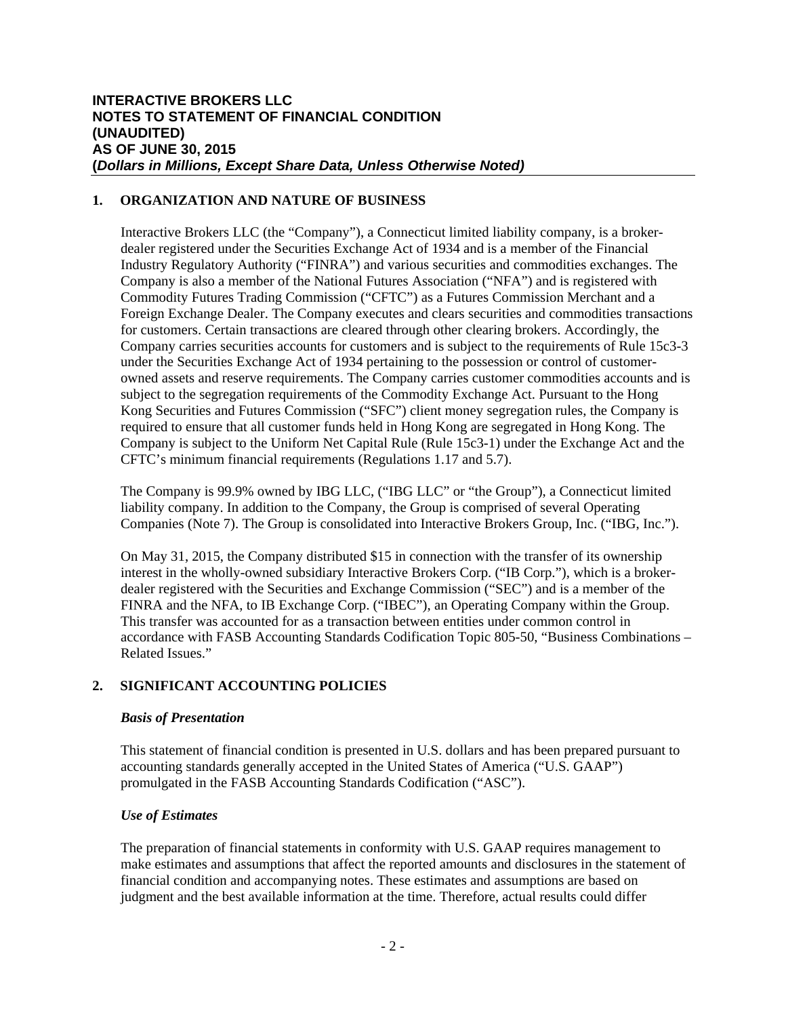# **1. ORGANIZATION AND NATURE OF BUSINESS**

Interactive Brokers LLC (the "Company"), a Connecticut limited liability company, is a brokerdealer registered under the Securities Exchange Act of 1934 and is a member of the Financial Industry Regulatory Authority ("FINRA") and various securities and commodities exchanges. The Company is also a member of the National Futures Association ("NFA") and is registered with Commodity Futures Trading Commission ("CFTC") as a Futures Commission Merchant and a Foreign Exchange Dealer. The Company executes and clears securities and commodities transactions for customers. Certain transactions are cleared through other clearing brokers. Accordingly, the Company carries securities accounts for customers and is subject to the requirements of Rule 15c3-3 under the Securities Exchange Act of 1934 pertaining to the possession or control of customerowned assets and reserve requirements. The Company carries customer commodities accounts and is subject to the segregation requirements of the Commodity Exchange Act. Pursuant to the Hong Kong Securities and Futures Commission ("SFC") client money segregation rules, the Company is required to ensure that all customer funds held in Hong Kong are segregated in Hong Kong. The Company is subject to the Uniform Net Capital Rule (Rule 15c3-1) under the Exchange Act and the CFTC's minimum financial requirements (Regulations 1.17 and 5.7).

The Company is 99.9% owned by IBG LLC, ("IBG LLC" or "the Group"), a Connecticut limited liability company. In addition to the Company, the Group is comprised of several Operating Companies (Note 7). The Group is consolidated into Interactive Brokers Group, Inc. ("IBG, Inc.").

On May 31, 2015, the Company distributed \$15 in connection with the transfer of its ownership interest in the wholly-owned subsidiary Interactive Brokers Corp. ("IB Corp."), which is a brokerdealer registered with the Securities and Exchange Commission ("SEC") and is a member of the FINRA and the NFA, to IB Exchange Corp. ("IBEC"), an Operating Company within the Group. This transfer was accounted for as a transaction between entities under common control in accordance with FASB Accounting Standards Codification Topic 805-50, "Business Combinations – Related Issues."

# **2. SIGNIFICANT ACCOUNTING POLICIES**

#### *Basis of Presentation*

This statement of financial condition is presented in U.S. dollars and has been prepared pursuant to accounting standards generally accepted in the United States of America ("U.S. GAAP") promulgated in the FASB Accounting Standards Codification ("ASC").

#### *Use of Estimates*

The preparation of financial statements in conformity with U.S. GAAP requires management to make estimates and assumptions that affect the reported amounts and disclosures in the statement of financial condition and accompanying notes. These estimates and assumptions are based on judgment and the best available information at the time. Therefore, actual results could differ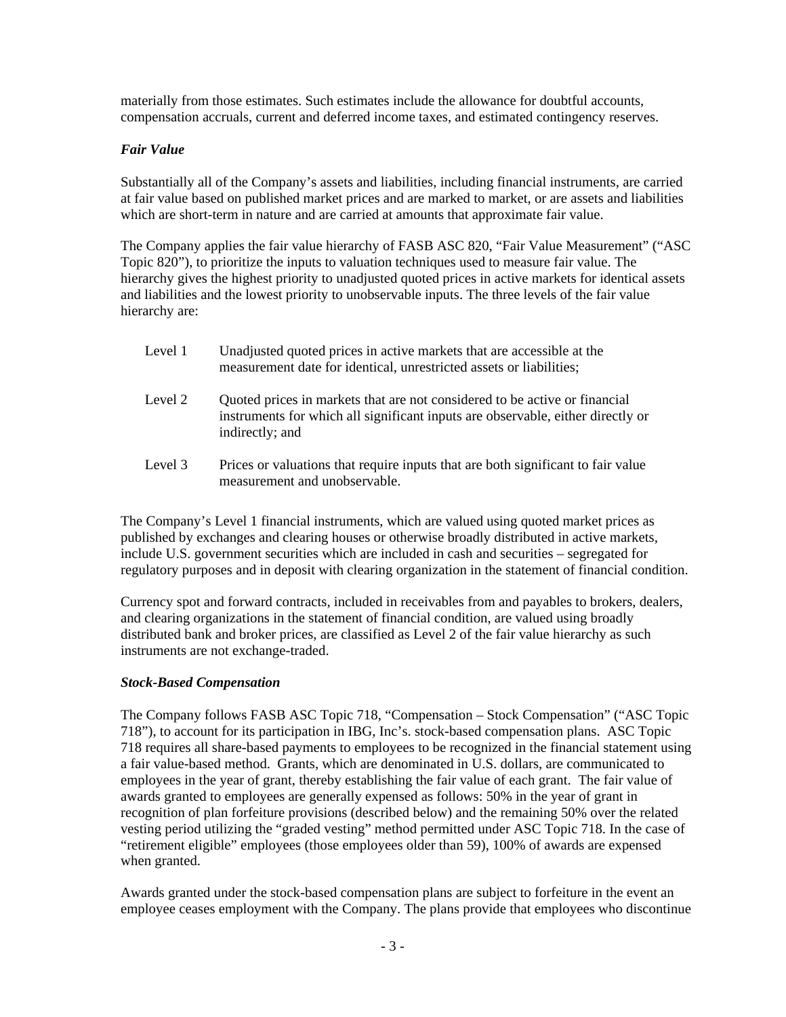materially from those estimates. Such estimates include the allowance for doubtful accounts, compensation accruals, current and deferred income taxes, and estimated contingency reserves.

# *Fair Value*

Substantially all of the Company's assets and liabilities, including financial instruments, are carried at fair value based on published market prices and are marked to market, or are assets and liabilities which are short-term in nature and are carried at amounts that approximate fair value.

The Company applies the fair value hierarchy of FASB ASC 820, "Fair Value Measurement" ("ASC Topic 820"), to prioritize the inputs to valuation techniques used to measure fair value. The hierarchy gives the highest priority to unadjusted quoted prices in active markets for identical assets and liabilities and the lowest priority to unobservable inputs. The three levels of the fair value hierarchy are:

| Level 1 | Unadjusted quoted prices in active markets that are accessible at the |
|---------|-----------------------------------------------------------------------|
|         | measurement date for identical, unrestricted assets or liabilities;   |

- Level 2 Quoted prices in markets that are not considered to be active or financial instruments for which all significant inputs are observable, either directly or indirectly; and
- Level 3 Prices or valuations that require inputs that are both significant to fair value measurement and unobservable.

The Company's Level 1 financial instruments, which are valued using quoted market prices as published by exchanges and clearing houses or otherwise broadly distributed in active markets, include U.S. government securities which are included in cash and securities – segregated for regulatory purposes and in deposit with clearing organization in the statement of financial condition.

Currency spot and forward contracts, included in receivables from and payables to brokers, dealers, and clearing organizations in the statement of financial condition, are valued using broadly distributed bank and broker prices, are classified as Level 2 of the fair value hierarchy as such instruments are not exchange-traded.

#### *Stock-Based Compensation*

The Company follows FASB ASC Topic 718, "Compensation – Stock Compensation" ("ASC Topic 718"), to account for its participation in IBG, Inc's. stock-based compensation plans. ASC Topic 718 requires all share-based payments to employees to be recognized in the financial statement using a fair value-based method. Grants, which are denominated in U.S. dollars, are communicated to employees in the year of grant, thereby establishing the fair value of each grant. The fair value of awards granted to employees are generally expensed as follows: 50% in the year of grant in recognition of plan forfeiture provisions (described below) and the remaining 50% over the related vesting period utilizing the "graded vesting" method permitted under ASC Topic 718. In the case of "retirement eligible" employees (those employees older than 59), 100% of awards are expensed when granted.

Awards granted under the stock-based compensation plans are subject to forfeiture in the event an employee ceases employment with the Company. The plans provide that employees who discontinue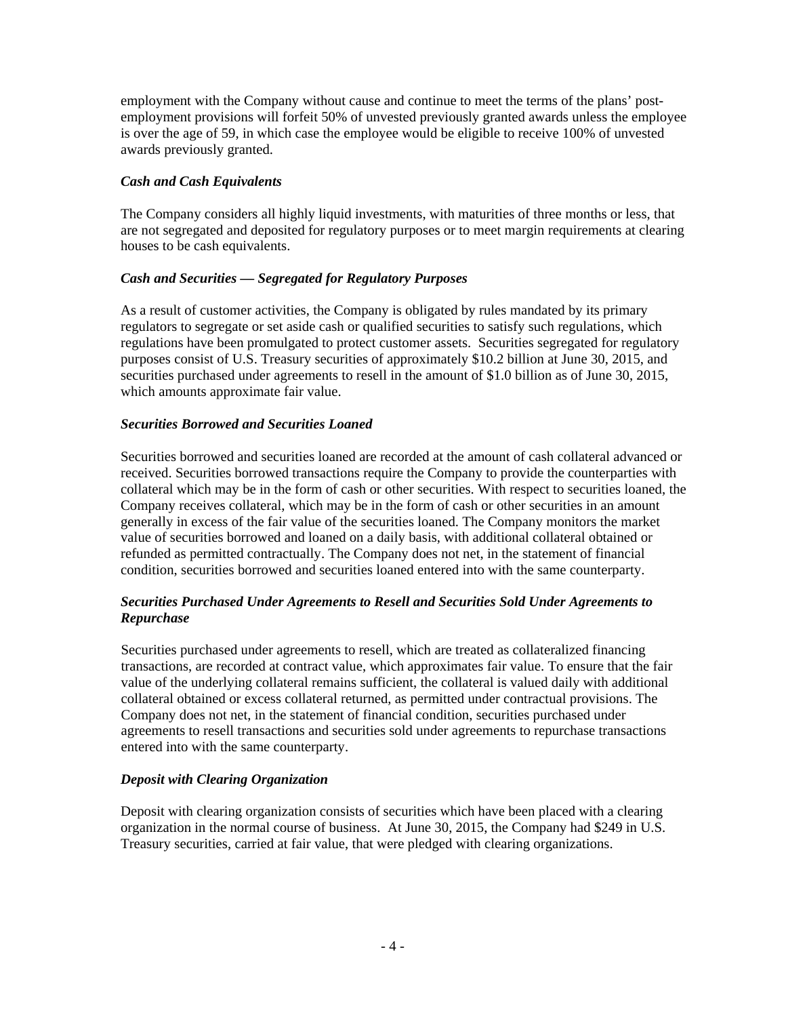employment with the Company without cause and continue to meet the terms of the plans' postemployment provisions will forfeit 50% of unvested previously granted awards unless the employee is over the age of 59, in which case the employee would be eligible to receive 100% of unvested awards previously granted.

# *Cash and Cash Equivalents*

The Company considers all highly liquid investments, with maturities of three months or less, that are not segregated and deposited for regulatory purposes or to meet margin requirements at clearing houses to be cash equivalents.

# *Cash and Securities — Segregated for Regulatory Purposes*

As a result of customer activities, the Company is obligated by rules mandated by its primary regulators to segregate or set aside cash or qualified securities to satisfy such regulations, which regulations have been promulgated to protect customer assets. Securities segregated for regulatory purposes consist of U.S. Treasury securities of approximately \$10.2 billion at June 30, 2015, and securities purchased under agreements to resell in the amount of \$1.0 billion as of June 30, 2015, which amounts approximate fair value.

# *Securities Borrowed and Securities Loaned*

Securities borrowed and securities loaned are recorded at the amount of cash collateral advanced or received. Securities borrowed transactions require the Company to provide the counterparties with collateral which may be in the form of cash or other securities. With respect to securities loaned, the Company receives collateral, which may be in the form of cash or other securities in an amount generally in excess of the fair value of the securities loaned. The Company monitors the market value of securities borrowed and loaned on a daily basis, with additional collateral obtained or refunded as permitted contractually. The Company does not net, in the statement of financial condition, securities borrowed and securities loaned entered into with the same counterparty.

# *Securities Purchased Under Agreements to Resell and Securities Sold Under Agreements to Repurchase*

Securities purchased under agreements to resell, which are treated as collateralized financing transactions, are recorded at contract value, which approximates fair value. To ensure that the fair value of the underlying collateral remains sufficient, the collateral is valued daily with additional collateral obtained or excess collateral returned, as permitted under contractual provisions. The Company does not net, in the statement of financial condition, securities purchased under agreements to resell transactions and securities sold under agreements to repurchase transactions entered into with the same counterparty.

#### *Deposit with Clearing Organization*

Deposit with clearing organization consists of securities which have been placed with a clearing organization in the normal course of business. At June 30, 2015, the Company had \$249 in U.S. Treasury securities, carried at fair value, that were pledged with clearing organizations.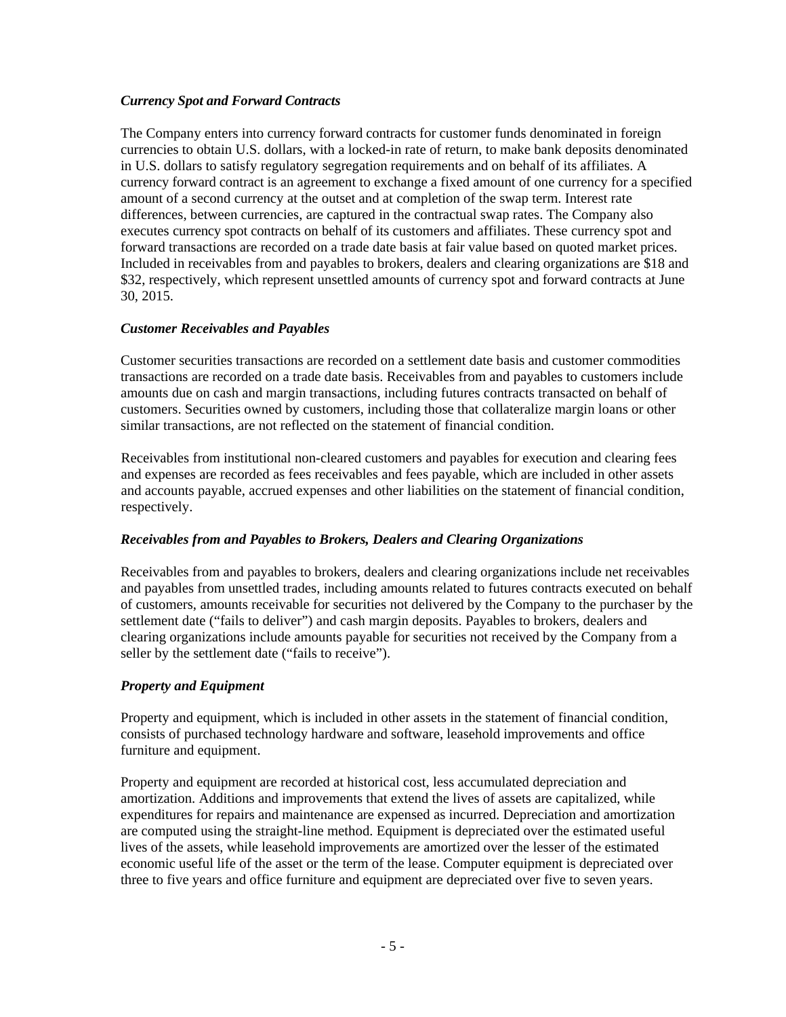#### *Currency Spot and Forward Contracts*

The Company enters into currency forward contracts for customer funds denominated in foreign currencies to obtain U.S. dollars, with a locked-in rate of return, to make bank deposits denominated in U.S. dollars to satisfy regulatory segregation requirements and on behalf of its affiliates. A currency forward contract is an agreement to exchange a fixed amount of one currency for a specified amount of a second currency at the outset and at completion of the swap term. Interest rate differences, between currencies, are captured in the contractual swap rates. The Company also executes currency spot contracts on behalf of its customers and affiliates. These currency spot and forward transactions are recorded on a trade date basis at fair value based on quoted market prices. Included in receivables from and payables to brokers, dealers and clearing organizations are \$18 and \$32, respectively, which represent unsettled amounts of currency spot and forward contracts at June 30, 2015.

# *Customer Receivables and Payables*

Customer securities transactions are recorded on a settlement date basis and customer commodities transactions are recorded on a trade date basis. Receivables from and payables to customers include amounts due on cash and margin transactions, including futures contracts transacted on behalf of customers. Securities owned by customers, including those that collateralize margin loans or other similar transactions, are not reflected on the statement of financial condition.

Receivables from institutional non-cleared customers and payables for execution and clearing fees and expenses are recorded as fees receivables and fees payable, which are included in other assets and accounts payable, accrued expenses and other liabilities on the statement of financial condition, respectively.

#### *Receivables from and Payables to Brokers, Dealers and Clearing Organizations*

Receivables from and payables to brokers, dealers and clearing organizations include net receivables and payables from unsettled trades, including amounts related to futures contracts executed on behalf of customers, amounts receivable for securities not delivered by the Company to the purchaser by the settlement date ("fails to deliver") and cash margin deposits. Payables to brokers, dealers and clearing organizations include amounts payable for securities not received by the Company from a seller by the settlement date ("fails to receive").

# *Property and Equipment*

Property and equipment, which is included in other assets in the statement of financial condition, consists of purchased technology hardware and software, leasehold improvements and office furniture and equipment.

Property and equipment are recorded at historical cost, less accumulated depreciation and amortization. Additions and improvements that extend the lives of assets are capitalized, while expenditures for repairs and maintenance are expensed as incurred. Depreciation and amortization are computed using the straight-line method. Equipment is depreciated over the estimated useful lives of the assets, while leasehold improvements are amortized over the lesser of the estimated economic useful life of the asset or the term of the lease. Computer equipment is depreciated over three to five years and office furniture and equipment are depreciated over five to seven years.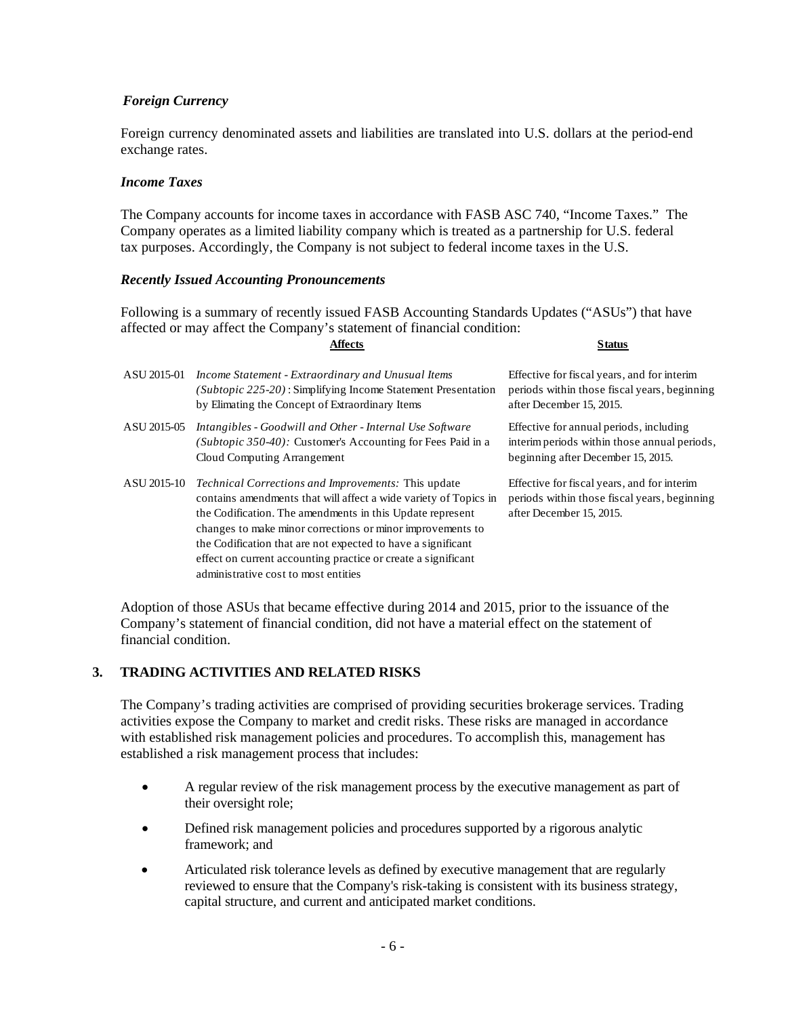# *Foreign Currency*

Foreign currency denominated assets and liabilities are translated into U.S. dollars at the period-end exchange rates.

#### *Income Taxes*

The Company accounts for income taxes in accordance with FASB ASC 740, "Income Taxes." The Company operates as a limited liability company which is treated as a partnership for U.S. federal tax purposes. Accordingly, the Company is not subject to federal income taxes in the U.S.

#### *Recently Issued Accounting Pronouncements*

Following is a summary of recently issued FASB Accounting Standards Updates ("ASUs") that have affected or may affect the Company's statement of financial condition: **Affects Status**

| ASU 2015-01 | Income Statement - Extraordinary and Unusual Items<br>( <i>Subtopic 225-20</i> ): Simplifying Income Statement Presentation<br>by Elimating the Concept of Extraordinary Items                                                                                                                                                                                                                                                     | Effective for fiscal years, and for interim<br>periods within those fiscal years, beginning<br>after December 15, 2015.       |
|-------------|------------------------------------------------------------------------------------------------------------------------------------------------------------------------------------------------------------------------------------------------------------------------------------------------------------------------------------------------------------------------------------------------------------------------------------|-------------------------------------------------------------------------------------------------------------------------------|
| ASU 2015-05 | Intangibles - Goodwill and Other - Internal Use Software<br>( <i>Subtopic 350-40</i> ): Customer's Accounting for Fees Paid in a<br>Cloud Computing Arrangement                                                                                                                                                                                                                                                                    | Effective for annual periods, including<br>interim periods within those annual periods,<br>beginning after December 15, 2015. |
| ASU 2015-10 | <i>Technical Corrections and Improvements:</i> This update<br>contains amendments that will affect a wide variety of Topics in<br>the Codification. The amendments in this Update represent<br>changes to make minor corrections or minor improvements to<br>the Codification that are not expected to have a significant<br>effect on current accounting practice or create a significant<br>administrative cost to most entities | Effective for fiscal years, and for interim<br>periods within those fiscal years, beginning<br>after December 15, 2015.       |

Adoption of those ASUs that became effective during 2014 and 2015, prior to the issuance of the Company's statement of financial condition, did not have a material effect on the statement of financial condition.

#### **3. TRADING ACTIVITIES AND RELATED RISKS**

The Company's trading activities are comprised of providing securities brokerage services. Trading activities expose the Company to market and credit risks. These risks are managed in accordance with established risk management policies and procedures. To accomplish this, management has established a risk management process that includes:

- A regular review of the risk management process by the executive management as part of their oversight role;
- Defined risk management policies and procedures supported by a rigorous analytic framework; and
- Articulated risk tolerance levels as defined by executive management that are regularly reviewed to ensure that the Company's risk-taking is consistent with its business strategy, capital structure, and current and anticipated market conditions.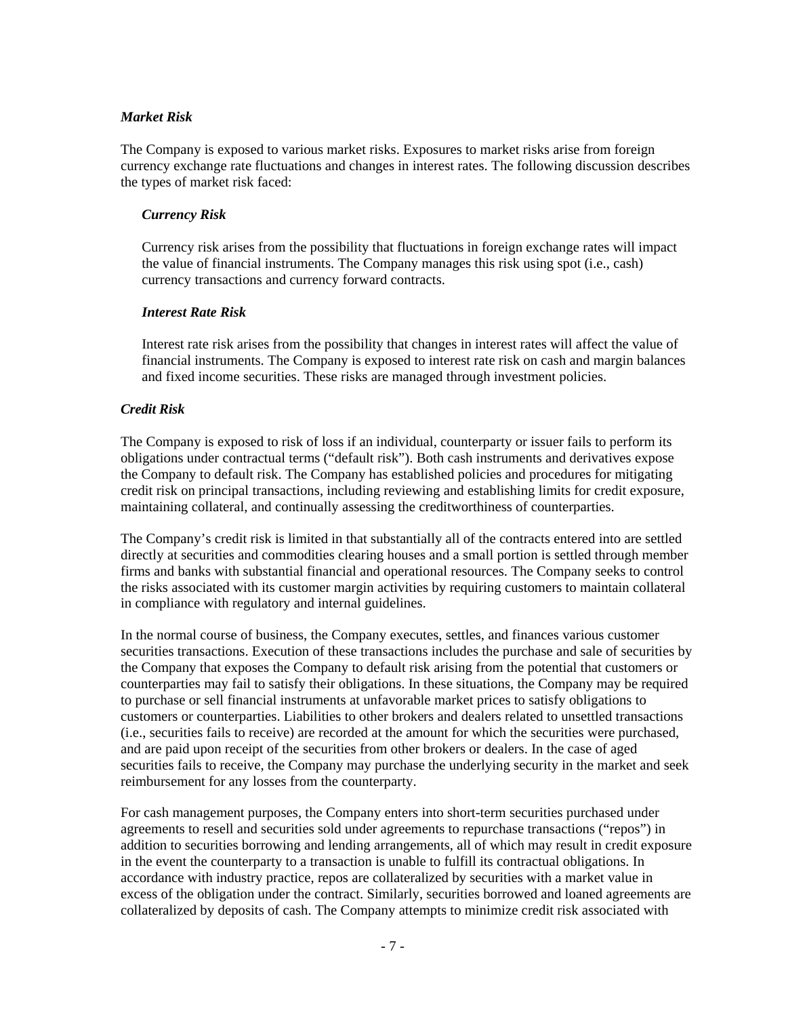#### *Market Risk*

The Company is exposed to various market risks. Exposures to market risks arise from foreign currency exchange rate fluctuations and changes in interest rates. The following discussion describes the types of market risk faced:

#### *Currency Risk*

Currency risk arises from the possibility that fluctuations in foreign exchange rates will impact the value of financial instruments. The Company manages this risk using spot (i.e., cash) currency transactions and currency forward contracts.

# *Interest Rate Risk*

Interest rate risk arises from the possibility that changes in interest rates will affect the value of financial instruments. The Company is exposed to interest rate risk on cash and margin balances and fixed income securities. These risks are managed through investment policies.

# *Credit Risk*

The Company is exposed to risk of loss if an individual, counterparty or issuer fails to perform its obligations under contractual terms ("default risk"). Both cash instruments and derivatives expose the Company to default risk. The Company has established policies and procedures for mitigating credit risk on principal transactions, including reviewing and establishing limits for credit exposure, maintaining collateral, and continually assessing the creditworthiness of counterparties.

The Company's credit risk is limited in that substantially all of the contracts entered into are settled directly at securities and commodities clearing houses and a small portion is settled through member firms and banks with substantial financial and operational resources. The Company seeks to control the risks associated with its customer margin activities by requiring customers to maintain collateral in compliance with regulatory and internal guidelines.

In the normal course of business, the Company executes, settles, and finances various customer securities transactions. Execution of these transactions includes the purchase and sale of securities by the Company that exposes the Company to default risk arising from the potential that customers or counterparties may fail to satisfy their obligations. In these situations, the Company may be required to purchase or sell financial instruments at unfavorable market prices to satisfy obligations to customers or counterparties. Liabilities to other brokers and dealers related to unsettled transactions (i.e., securities fails to receive) are recorded at the amount for which the securities were purchased, and are paid upon receipt of the securities from other brokers or dealers. In the case of aged securities fails to receive, the Company may purchase the underlying security in the market and seek reimbursement for any losses from the counterparty.

For cash management purposes, the Company enters into short-term securities purchased under agreements to resell and securities sold under agreements to repurchase transactions ("repos") in addition to securities borrowing and lending arrangements, all of which may result in credit exposure in the event the counterparty to a transaction is unable to fulfill its contractual obligations. In accordance with industry practice, repos are collateralized by securities with a market value in excess of the obligation under the contract. Similarly, securities borrowed and loaned agreements are collateralized by deposits of cash. The Company attempts to minimize credit risk associated with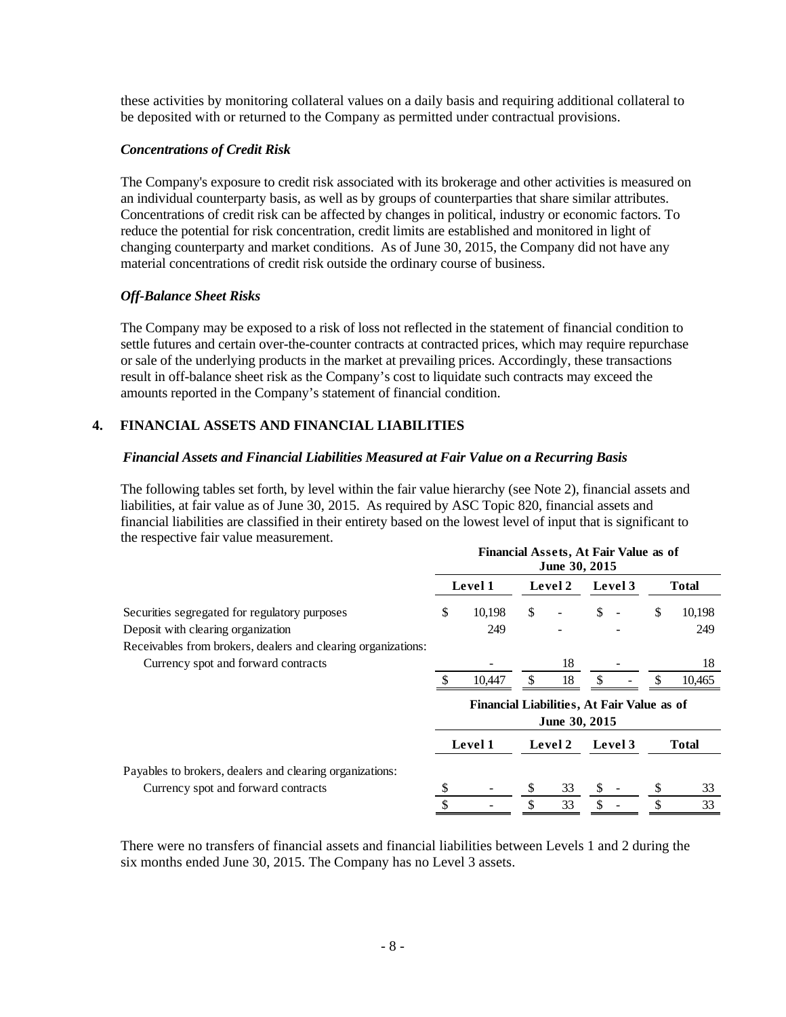these activities by monitoring collateral values on a daily basis and requiring additional collateral to be deposited with or returned to the Company as permitted under contractual provisions.

#### *Concentrations of Credit Risk*

The Company's exposure to credit risk associated with its brokerage and other activities is measured on an individual counterparty basis, as well as by groups of counterparties that share similar attributes. Concentrations of credit risk can be affected by changes in political, industry or economic factors. To reduce the potential for risk concentration, credit limits are established and monitored in light of changing counterparty and market conditions. As of June 30, 2015, the Company did not have any material concentrations of credit risk outside the ordinary course of business.

#### *Off-Balance Sheet Risks*

The Company may be exposed to a risk of loss not reflected in the statement of financial condition to settle futures and certain over-the-counter contracts at contracted prices, which may require repurchase or sale of the underlying products in the market at prevailing prices. Accordingly, these transactions result in off-balance sheet risk as the Company's cost to liquidate such contracts may exceed the amounts reported in the Company's statement of financial condition.

#### **4. FINANCIAL ASSETS AND FINANCIAL LIABILITIES**

#### *Financial Assets and Financial Liabilities Measured at Fair Value on a Recurring Basis*

The following tables set forth, by level within the fair value hierarchy (see Note 2), financial assets and liabilities, at fair value as of June 30, 2015. As required by ASC Topic 820, financial assets and financial liabilities are classified in their entirety based on the lowest level of input that is significant to the respective fair value measurement.

|                                                               | Financial Assets, At Fair Value as of<br>June 30, 2015 |                                            |    |               |    |         |    |              |  |
|---------------------------------------------------------------|--------------------------------------------------------|--------------------------------------------|----|---------------|----|---------|----|--------------|--|
|                                                               |                                                        | Level 1                                    |    | Level 2       |    | Level 3 |    | <b>Total</b> |  |
| Securities segregated for regulatory purposes                 | \$                                                     | 10,198                                     | \$ |               | \$ |         | \$ | 10,198       |  |
| Deposit with clearing organization                            |                                                        | 249                                        |    |               |    |         |    | 249          |  |
| Receivables from brokers, dealers and clearing organizations: |                                                        |                                            |    |               |    |         |    |              |  |
| Currency spot and forward contracts                           |                                                        |                                            |    | 18            |    |         |    | 18           |  |
|                                                               |                                                        | 10,447                                     | S  | 18            |    |         |    | 10,465       |  |
|                                                               |                                                        | Financial Liabilities, At Fair Value as of |    | June 30, 2015 |    |         |    |              |  |
|                                                               |                                                        | Level 1                                    |    | Level 2       |    | Level 3 |    | Total        |  |
| Payables to brokers, dealers and clearing organizations:      |                                                        |                                            |    |               |    |         |    |              |  |
| Currency spot and forward contracts                           | S                                                      |                                            |    | 33            |    |         | S  | 33           |  |
|                                                               | \$                                                     |                                            | \$ | 33            | \$ |         | \$ | 33           |  |

There were no transfers of financial assets and financial liabilities between Levels 1 and 2 during the six months ended June 30, 2015. The Company has no Level 3 assets.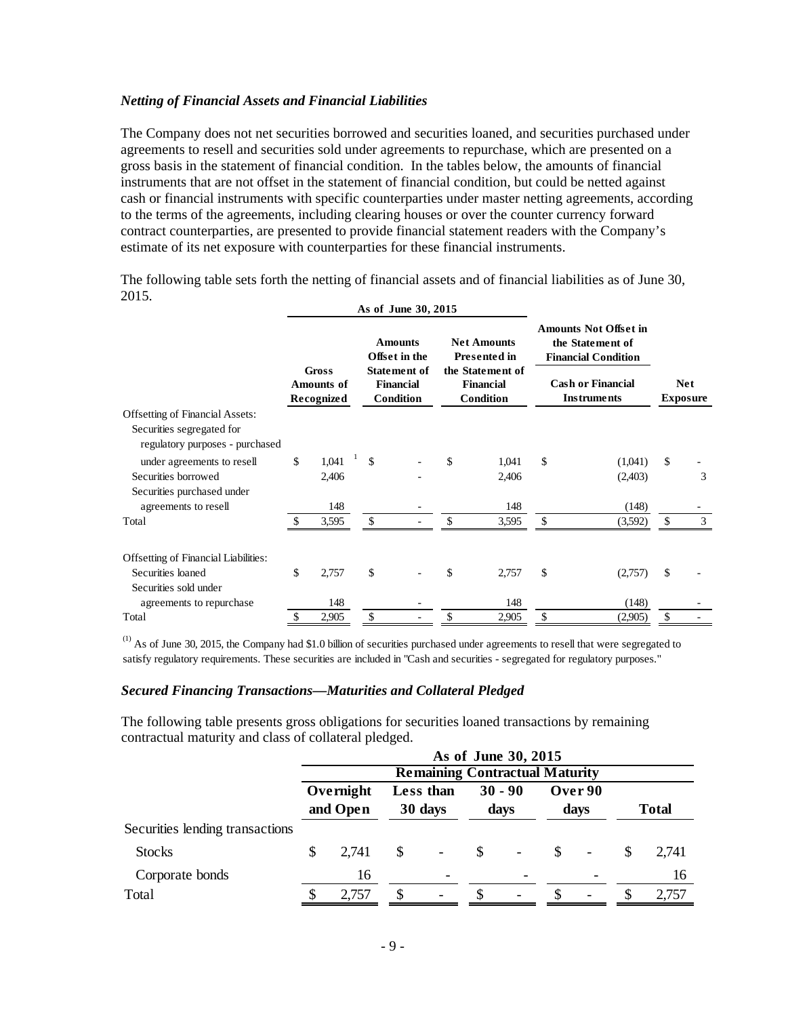#### *Netting of Financial Assets and Financial Liabilities*

The Company does not net securities borrowed and securities loaned, and securities purchased under agreements to resell and securities sold under agreements to repurchase, which are presented on a gross basis in the statement of financial condition. In the tables below, the amounts of financial instruments that are not offset in the statement of financial condition, but could be netted against cash or financial instruments with specific counterparties under master netting agreements, according to the terms of the agreements, including clearing houses or over the counter currency forward contract counterparties, are presented to provide financial statement readers with the Company's estimate of its net exposure with counterparties for these financial instruments.

The following table sets forth the netting of financial assets and of financial liabilities as of June 30, 2015.  $A = 30, 3015$ 

|                                                              | As of June 30, 2015                             |       |               |                                                                                  |     |                                                                                                |              |                                                                                                                                  |              |   |
|--------------------------------------------------------------|-------------------------------------------------|-------|---------------|----------------------------------------------------------------------------------|-----|------------------------------------------------------------------------------------------------|--------------|----------------------------------------------------------------------------------------------------------------------------------|--------------|---|
|                                                              | <b>Gross</b><br><b>Amounts of</b><br>Recognized |       |               | <b>Amounts</b><br>Offset in the<br>Statement of<br><b>Financial</b><br>Condition |     | <b>Net Amounts</b><br><b>Presented in</b><br>the Statement of<br><b>Financial</b><br>Condition |              | <b>Amounts Not Offset in</b><br>the Statement of<br><b>Financial Condition</b><br><b>Cash or Financial</b><br><b>Instruments</b> |              |   |
| <b>Offsetting of Financial Assets:</b>                       |                                                 |       |               |                                                                                  |     |                                                                                                |              |                                                                                                                                  |              |   |
| Securities segregated for<br>regulatory purposes - purchased |                                                 |       |               |                                                                                  |     |                                                                                                |              |                                                                                                                                  |              |   |
| under agreements to resell                                   | \$                                              | 1,041 | $\mathcal{S}$ |                                                                                  | \$. | 1,041                                                                                          | $\mathbb{S}$ | (1,041)                                                                                                                          | $\mathbb{S}$ |   |
| Securities borrowed                                          |                                                 | 2,406 |               |                                                                                  |     | 2,406                                                                                          |              | (2,403)                                                                                                                          |              | 3 |
| Securities purchased under<br>agreements to resell           |                                                 | 148   |               |                                                                                  |     | 148                                                                                            |              | (148)                                                                                                                            |              |   |
| Total                                                        |                                                 | 3,595 | \$            |                                                                                  |     | 3,595                                                                                          | \$           | (3,592)                                                                                                                          | \$           | 3 |
| Offsetting of Financial Liabilities:                         |                                                 |       |               |                                                                                  |     |                                                                                                |              |                                                                                                                                  |              |   |
| Securities loaned                                            | \$                                              | 2,757 | \$            |                                                                                  | \$  | 2,757                                                                                          | \$           | (2,757)                                                                                                                          | \$           |   |
| Securities sold under                                        |                                                 |       |               |                                                                                  |     |                                                                                                |              |                                                                                                                                  |              |   |
| agreements to repurchase                                     |                                                 | 148   |               |                                                                                  |     | 148                                                                                            |              | (148)                                                                                                                            |              |   |
| Total                                                        | \$                                              | 2,905 | \$            |                                                                                  | \$  | 2,905                                                                                          | \$           | (2,905)                                                                                                                          | \$           |   |

 $<sup>(1)</sup>$  As of June 30, 2015, the Company had \$1.0 billion of securities purchased under agreements to resell that were segregated to</sup> satisfy regulatory requirements. These securities are included in "Cash and securities - segregated for regulatory purposes."

#### *Secured Financing Transactions—Maturities and Collateral Pledged*

The following table presents gross obligations for securities loaned transactions by remaining contractual maturity and class of collateral pledged.

|                                 |  | As of June 30, 2015<br><b>Remaining Contractual Maturity</b> |              |                          |               |                |  |                          |   |              |  |
|---------------------------------|--|--------------------------------------------------------------|--------------|--------------------------|---------------|----------------|--|--------------------------|---|--------------|--|
|                                 |  |                                                              |              |                          |               |                |  |                          |   |              |  |
|                                 |  | Overnight                                                    |              | Less than                |               | $30 - 90$      |  | Over 90                  |   |              |  |
|                                 |  | and Open                                                     |              | 30 days                  |               | days           |  | days                     |   | <b>Total</b> |  |
| Securities lending transactions |  |                                                              |              |                          |               |                |  |                          |   |              |  |
| <b>Stocks</b>                   |  | 2,741                                                        | <sup>S</sup> | $\overline{\phantom{a}}$ | <sup>\$</sup> | $\blacksquare$ |  | $\overline{\phantom{a}}$ |   | 2.741        |  |
| Corporate bonds                 |  | 16                                                           |              | $\overline{\phantom{a}}$ |               |                |  |                          |   | 16           |  |
| Total                           |  | 2,757                                                        |              |                          |               |                |  | -                        | S | 2,757        |  |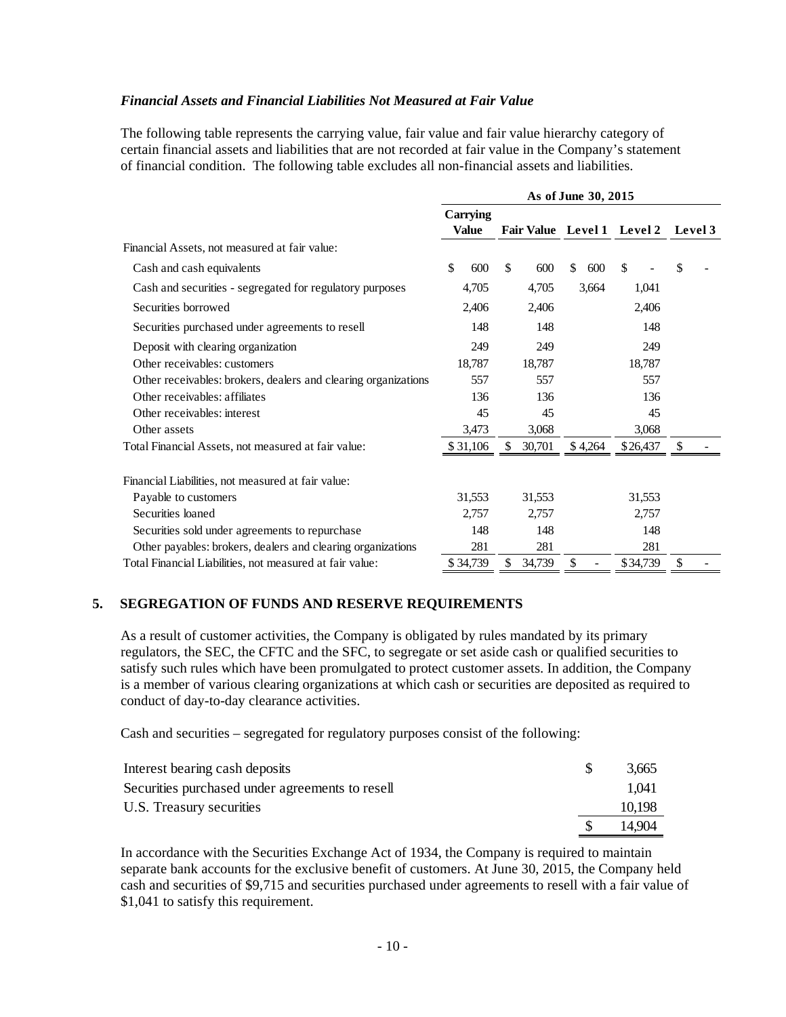#### *Financial Assets and Financial Liabilities Not Measured at Fair Value*

The following table represents the carrying value, fair value and fair value hierarchy category of certain financial assets and liabilities that are not recorded at fair value in the Company's statement of financial condition. The following table excludes all non-financial assets and liabilities.

|                                                                | As of June 30, 2015 |                            |           |          |         |  |  |
|----------------------------------------------------------------|---------------------|----------------------------|-----------|----------|---------|--|--|
|                                                                | Carrying<br>Value   | Fair Value Level 1 Level 2 |           |          | Level 3 |  |  |
| Financial Assets, not measured at fair value:                  |                     |                            |           |          |         |  |  |
| Cash and cash equivalents                                      | \$<br>600           | \$<br>600                  | \$<br>600 | \$       | \$      |  |  |
| Cash and securities - segregated for regulatory purposes       | 4,705               | 4,705                      | 3,664     | 1,041    |         |  |  |
| Securities borrowed                                            | 2,406               | 2,406                      |           | 2,406    |         |  |  |
| Securities purchased under agreements to resell                | 148                 | 148                        |           | 148      |         |  |  |
| Deposit with clearing organization                             | 249                 | 249                        |           | 249      |         |  |  |
| Other receivables: customers                                   | 18,787              | 18,787                     |           | 18,787   |         |  |  |
| Other receivables: brokers, dealers and clearing organizations | 557                 | 557                        |           | 557      |         |  |  |
| Other receivables: affiliates                                  | 136                 | 136                        |           | 136      |         |  |  |
| Other receivables: interest                                    | 45                  | 45                         |           | 45       |         |  |  |
| Other assets                                                   | 3,473               | 3.068                      |           | 3,068    |         |  |  |
| Total Financial Assets, not measured at fair value:            | \$31,106            | 30,701                     | \$4,264   | \$26,437 | \$      |  |  |
| Financial Liabilities, not measured at fair value:             |                     |                            |           |          |         |  |  |
| Payable to customers                                           | 31,553              | 31,553                     |           | 31,553   |         |  |  |
| Securities loaned                                              | 2,757               | 2,757                      |           | 2,757    |         |  |  |
| Securities sold under agreements to repurchase                 | 148                 | 148                        |           | 148      |         |  |  |
| Other payables: brokers, dealers and clearing organizations    | 281                 | 281                        |           | 281      |         |  |  |
| Total Financial Liabilities, not measured at fair value:       | \$34,739            | 34,739                     | \$        | \$34,739 | \$      |  |  |

# **5. SEGREGATION OF FUNDS AND RESERVE REQUIREMENTS**

As a result of customer activities, the Company is obligated by rules mandated by its primary regulators, the SEC, the CFTC and the SFC, to segregate or set aside cash or qualified securities to satisfy such rules which have been promulgated to protect customer assets. In addition, the Company is a member of various clearing organizations at which cash or securities are deposited as required to conduct of day-to-day clearance activities.

Cash and securities – segregated for regulatory purposes consist of the following:

| Securities purchased under agreements to resell<br>U.S. Treasury securities | 1.041<br>10,198 |
|-----------------------------------------------------------------------------|-----------------|
|                                                                             | 14.904          |

In accordance with the Securities Exchange Act of 1934, the Company is required to maintain separate bank accounts for the exclusive benefit of customers. At June 30, 2015, the Company held cash and securities of \$9,715 and securities purchased under agreements to resell with a fair value of \$1,041 to satisfy this requirement.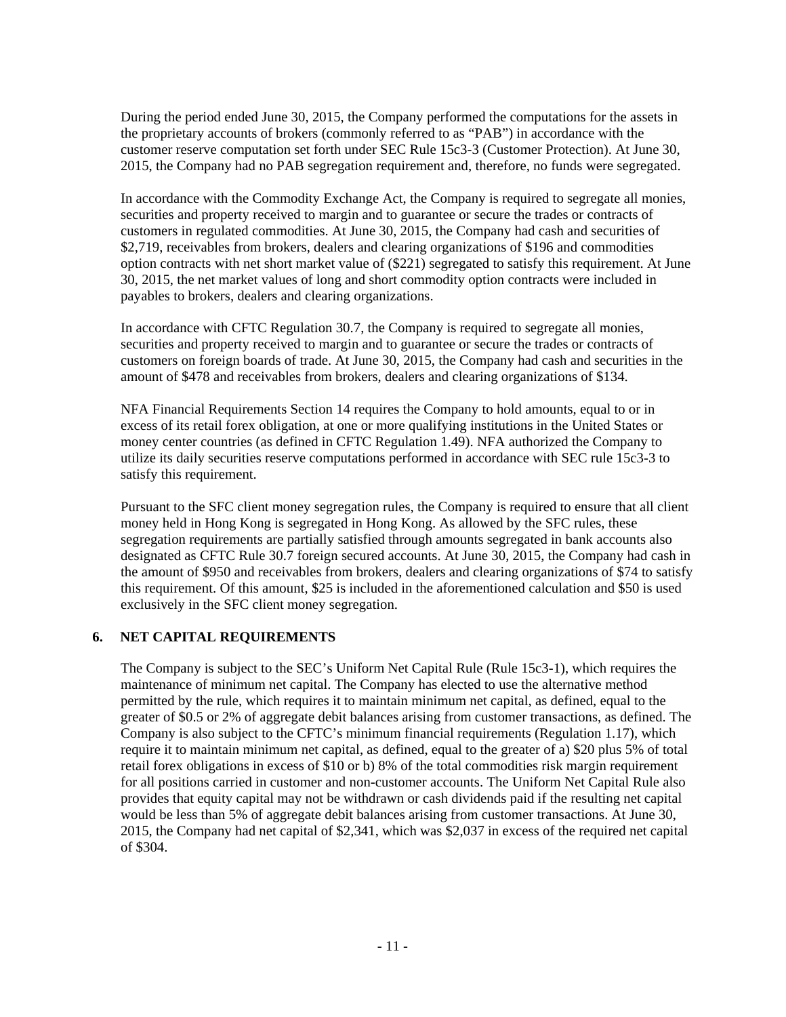During the period ended June 30, 2015, the Company performed the computations for the assets in the proprietary accounts of brokers (commonly referred to as "PAB") in accordance with the customer reserve computation set forth under SEC Rule 15c3-3 (Customer Protection). At June 30, 2015, the Company had no PAB segregation requirement and, therefore, no funds were segregated.

In accordance with the Commodity Exchange Act, the Company is required to segregate all monies, securities and property received to margin and to guarantee or secure the trades or contracts of customers in regulated commodities. At June 30, 2015, the Company had cash and securities of \$2,719, receivables from brokers, dealers and clearing organizations of \$196 and commodities option contracts with net short market value of (\$221) segregated to satisfy this requirement. At June 30, 2015, the net market values of long and short commodity option contracts were included in payables to brokers, dealers and clearing organizations.

In accordance with CFTC Regulation 30.7, the Company is required to segregate all monies, securities and property received to margin and to guarantee or secure the trades or contracts of customers on foreign boards of trade. At June 30, 2015, the Company had cash and securities in the amount of \$478 and receivables from brokers, dealers and clearing organizations of \$134.

NFA Financial Requirements Section 14 requires the Company to hold amounts, equal to or in excess of its retail forex obligation, at one or more qualifying institutions in the United States or money center countries (as defined in CFTC Regulation 1.49). NFA authorized the Company to utilize its daily securities reserve computations performed in accordance with SEC rule 15c3-3 to satisfy this requirement.

Pursuant to the SFC client money segregation rules, the Company is required to ensure that all client money held in Hong Kong is segregated in Hong Kong. As allowed by the SFC rules, these segregation requirements are partially satisfied through amounts segregated in bank accounts also designated as CFTC Rule 30.7 foreign secured accounts. At June 30, 2015, the Company had cash in the amount of \$950 and receivables from brokers, dealers and clearing organizations of \$74 to satisfy this requirement. Of this amount, \$25 is included in the aforementioned calculation and \$50 is used exclusively in the SFC client money segregation.

# **6. NET CAPITAL REQUIREMENTS**

The Company is subject to the SEC's Uniform Net Capital Rule (Rule 15c3-1), which requires the maintenance of minimum net capital. The Company has elected to use the alternative method permitted by the rule, which requires it to maintain minimum net capital, as defined, equal to the greater of \$0.5 or 2% of aggregate debit balances arising from customer transactions, as defined. The Company is also subject to the CFTC's minimum financial requirements (Regulation 1.17), which require it to maintain minimum net capital, as defined, equal to the greater of a) \$20 plus 5% of total retail forex obligations in excess of \$10 or b) 8% of the total commodities risk margin requirement for all positions carried in customer and non-customer accounts. The Uniform Net Capital Rule also provides that equity capital may not be withdrawn or cash dividends paid if the resulting net capital would be less than 5% of aggregate debit balances arising from customer transactions. At June 30, 2015, the Company had net capital of \$2,341, which was \$2,037 in excess of the required net capital of \$304.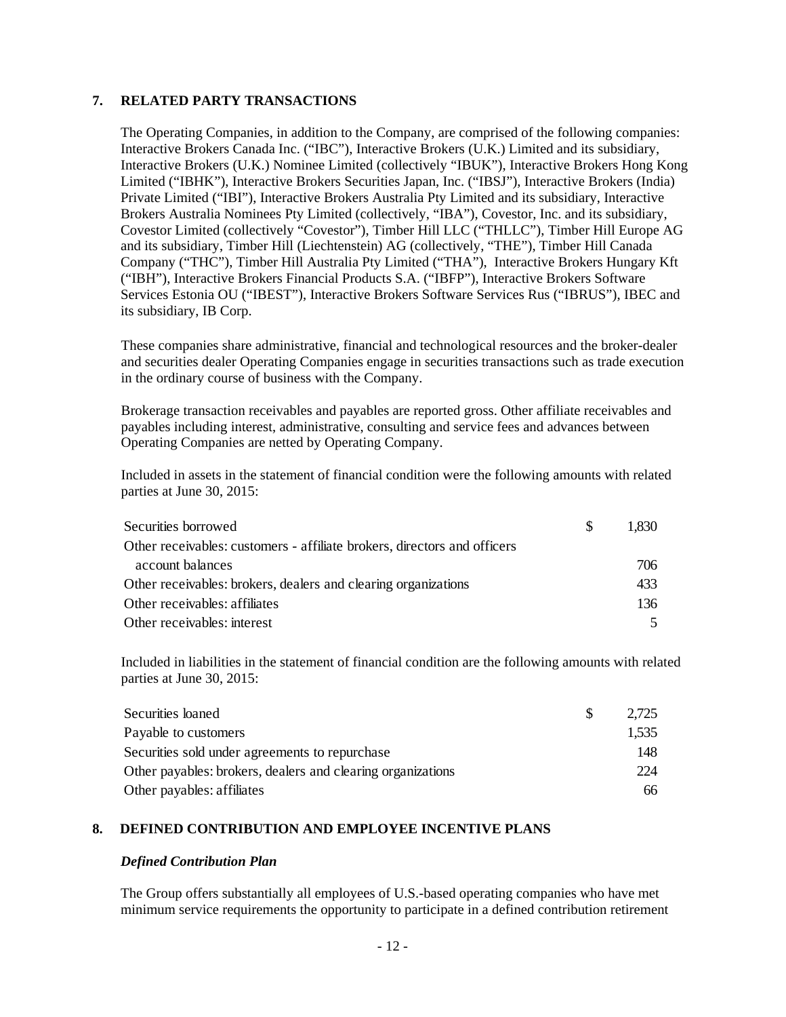# **7. RELATED PARTY TRANSACTIONS**

The Operating Companies, in addition to the Company, are comprised of the following companies: Interactive Brokers Canada Inc. ("IBC"), Interactive Brokers (U.K.) Limited and its subsidiary, Interactive Brokers (U.K.) Nominee Limited (collectively "IBUK"), Interactive Brokers Hong Kong Limited ("IBHK"), Interactive Brokers Securities Japan, Inc. ("IBSJ"), Interactive Brokers (India) Private Limited ("IBI"), Interactive Brokers Australia Pty Limited and its subsidiary, Interactive Brokers Australia Nominees Pty Limited (collectively, "IBA"), Covestor, Inc. and its subsidiary, Covestor Limited (collectively "Covestor"), Timber Hill LLC ("THLLC"), Timber Hill Europe AG and its subsidiary, Timber Hill (Liechtenstein) AG (collectively, "THE"), Timber Hill Canada Company ("THC"), Timber Hill Australia Pty Limited ("THA"), Interactive Brokers Hungary Kft ("IBH"), Interactive Brokers Financial Products S.A. ("IBFP"), Interactive Brokers Software Services Estonia OU ("IBEST"), Interactive Brokers Software Services Rus ("IBRUS"), IBEC and its subsidiary, IB Corp.

These companies share administrative, financial and technological resources and the broker-dealer and securities dealer Operating Companies engage in securities transactions such as trade execution in the ordinary course of business with the Company.

Brokerage transaction receivables and payables are reported gross. Other affiliate receivables and payables including interest, administrative, consulting and service fees and advances between Operating Companies are netted by Operating Company.

Included in assets in the statement of financial condition were the following amounts with related parties at June 30, 2015:

| Securities borrowed                                                      | -SS | 1.830 |
|--------------------------------------------------------------------------|-----|-------|
| Other receivables: customers - affiliate brokers, directors and officers |     |       |
| account balances                                                         |     | 706.  |
| Other receivables: brokers, dealers and clearing organizations           |     | 433   |
| Other receivables: affiliates                                            |     | 136   |
| Other receivables: interest                                              |     |       |

Included in liabilities in the statement of financial condition are the following amounts with related parties at June 30, 2015:

| Securities loaned                                           | 2.725 |
|-------------------------------------------------------------|-------|
| Payable to customers                                        | 1,535 |
| Securities sold under agreements to repurchase              | 148   |
| Other payables: brokers, dealers and clearing organizations | 224   |
| Other payables: affiliates                                  | 66    |

#### **8. DEFINED CONTRIBUTION AND EMPLOYEE INCENTIVE PLANS**

#### *Defined Contribution Plan*

The Group offers substantially all employees of U.S.-based operating companies who have met minimum service requirements the opportunity to participate in a defined contribution retirement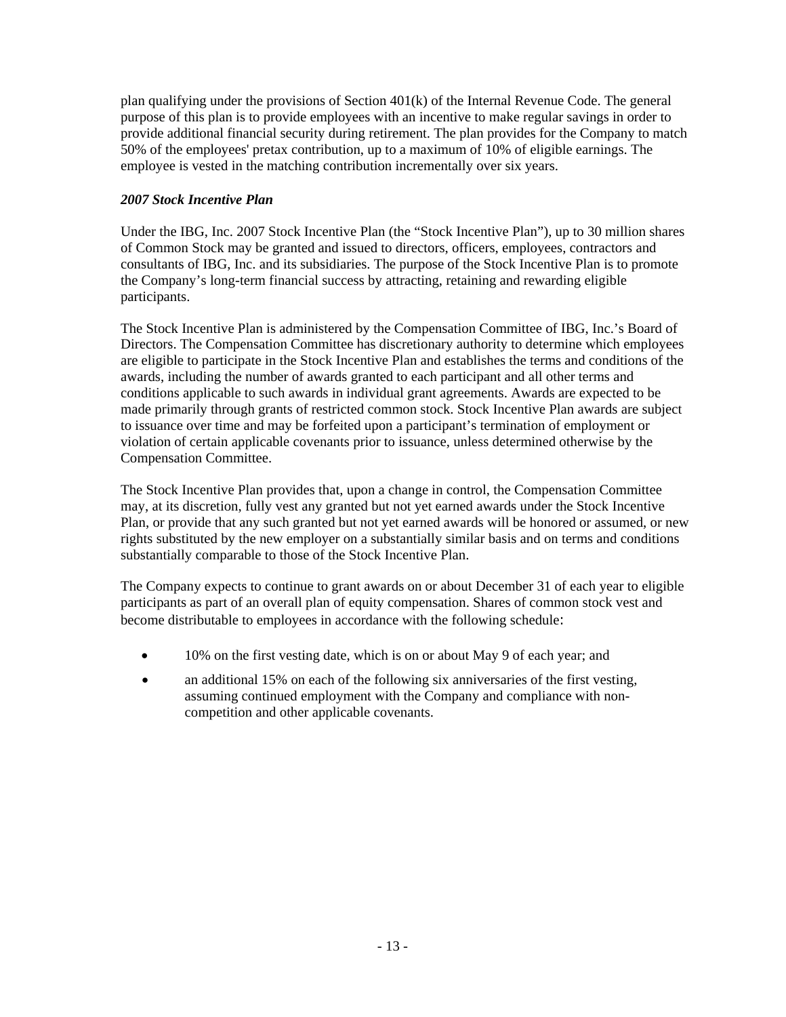plan qualifying under the provisions of Section 401(k) of the Internal Revenue Code. The general purpose of this plan is to provide employees with an incentive to make regular savings in order to provide additional financial security during retirement. The plan provides for the Company to match 50% of the employees' pretax contribution, up to a maximum of 10% of eligible earnings. The employee is vested in the matching contribution incrementally over six years.

# *2007 Stock Incentive Plan*

Under the IBG, Inc. 2007 Stock Incentive Plan (the "Stock Incentive Plan"), up to 30 million shares of Common Stock may be granted and issued to directors, officers, employees, contractors and consultants of IBG, Inc. and its subsidiaries. The purpose of the Stock Incentive Plan is to promote the Company's long-term financial success by attracting, retaining and rewarding eligible participants.

The Stock Incentive Plan is administered by the Compensation Committee of IBG, Inc.'s Board of Directors. The Compensation Committee has discretionary authority to determine which employees are eligible to participate in the Stock Incentive Plan and establishes the terms and conditions of the awards, including the number of awards granted to each participant and all other terms and conditions applicable to such awards in individual grant agreements. Awards are expected to be made primarily through grants of restricted common stock. Stock Incentive Plan awards are subject to issuance over time and may be forfeited upon a participant's termination of employment or violation of certain applicable covenants prior to issuance, unless determined otherwise by the Compensation Committee.

The Stock Incentive Plan provides that, upon a change in control, the Compensation Committee may, at its discretion, fully vest any granted but not yet earned awards under the Stock Incentive Plan, or provide that any such granted but not yet earned awards will be honored or assumed, or new rights substituted by the new employer on a substantially similar basis and on terms and conditions substantially comparable to those of the Stock Incentive Plan.

The Company expects to continue to grant awards on or about December 31 of each year to eligible participants as part of an overall plan of equity compensation. Shares of common stock vest and become distributable to employees in accordance with the following schedule:

- 10% on the first vesting date, which is on or about May 9 of each year; and
- an additional 15% on each of the following six anniversaries of the first vesting, assuming continued employment with the Company and compliance with noncompetition and other applicable covenants.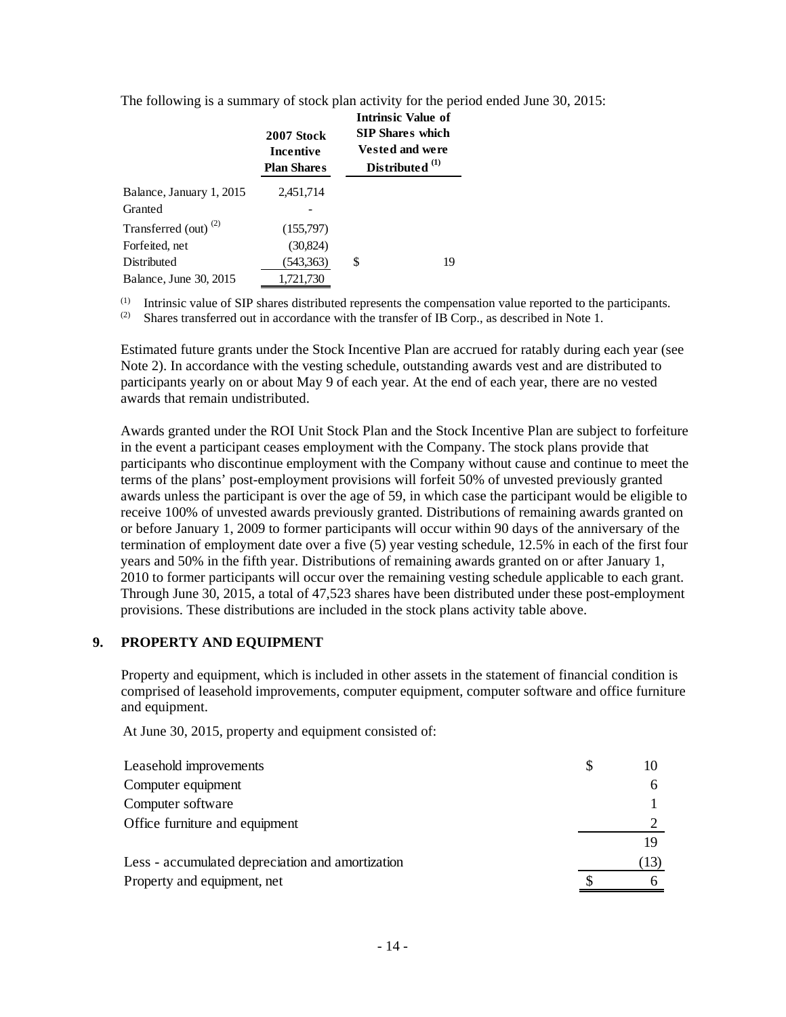The following is a summary of stock plan activity for the period ended June 30, 2015:

|                                  | 2007 Stock<br>Incentive<br><b>Plan Shares</b> | <b>Intrinsic Value of</b><br><b>SIP Shares which</b><br><b>Vested and were</b><br>Distributed <sup>(1)</sup> |    |
|----------------------------------|-----------------------------------------------|--------------------------------------------------------------------------------------------------------------|----|
| Balance, January 1, 2015         | 2,451,714                                     |                                                                                                              |    |
| Granted                          |                                               |                                                                                                              |    |
| Transferred (out) <sup>(2)</sup> | (155,797)                                     |                                                                                                              |    |
| Forfeited, net                   | (30,824)                                      |                                                                                                              |    |
| Distributed                      | (543,363)                                     | \$                                                                                                           | 19 |
| Balance, June 30, 2015           | 1,721,730                                     |                                                                                                              |    |

(1) Intrinsic value of SIP shares distributed represents the compensation value reported to the participants.<br>(2) Shares transferred out in accordance with the transfer of IB Corp. as described in Note 1

Shares transferred out in accordance with the transfer of IB Corp., as described in Note 1.

Estimated future grants under the Stock Incentive Plan are accrued for ratably during each year (see Note 2). In accordance with the vesting schedule, outstanding awards vest and are distributed to participants yearly on or about May 9 of each year. At the end of each year, there are no vested awards that remain undistributed.

Awards granted under the ROI Unit Stock Plan and the Stock Incentive Plan are subject to forfeiture in the event a participant ceases employment with the Company. The stock plans provide that participants who discontinue employment with the Company without cause and continue to meet the terms of the plans' post-employment provisions will forfeit 50% of unvested previously granted awards unless the participant is over the age of 59, in which case the participant would be eligible to receive 100% of unvested awards previously granted. Distributions of remaining awards granted on or before January 1, 2009 to former participants will occur within 90 days of the anniversary of the termination of employment date over a five (5) year vesting schedule, 12.5% in each of the first four years and 50% in the fifth year. Distributions of remaining awards granted on or after January 1, 2010 to former participants will occur over the remaining vesting schedule applicable to each grant. Through June 30, 2015, a total of 47,523 shares have been distributed under these post-employment provisions. These distributions are included in the stock plans activity table above.

#### **9. PROPERTY AND EQUIPMENT**

Property and equipment, which is included in other assets in the statement of financial condition is comprised of leasehold improvements, computer equipment, computer software and office furniture and equipment.

At June 30, 2015, property and equipment consisted of:

| Leasehold improvements                           |      |
|--------------------------------------------------|------|
| Computer equipment                               |      |
| Computer software                                |      |
| Office furniture and equipment                   |      |
|                                                  |      |
| Less - accumulated depreciation and amortization | (13) |
| Property and equipment, net                      |      |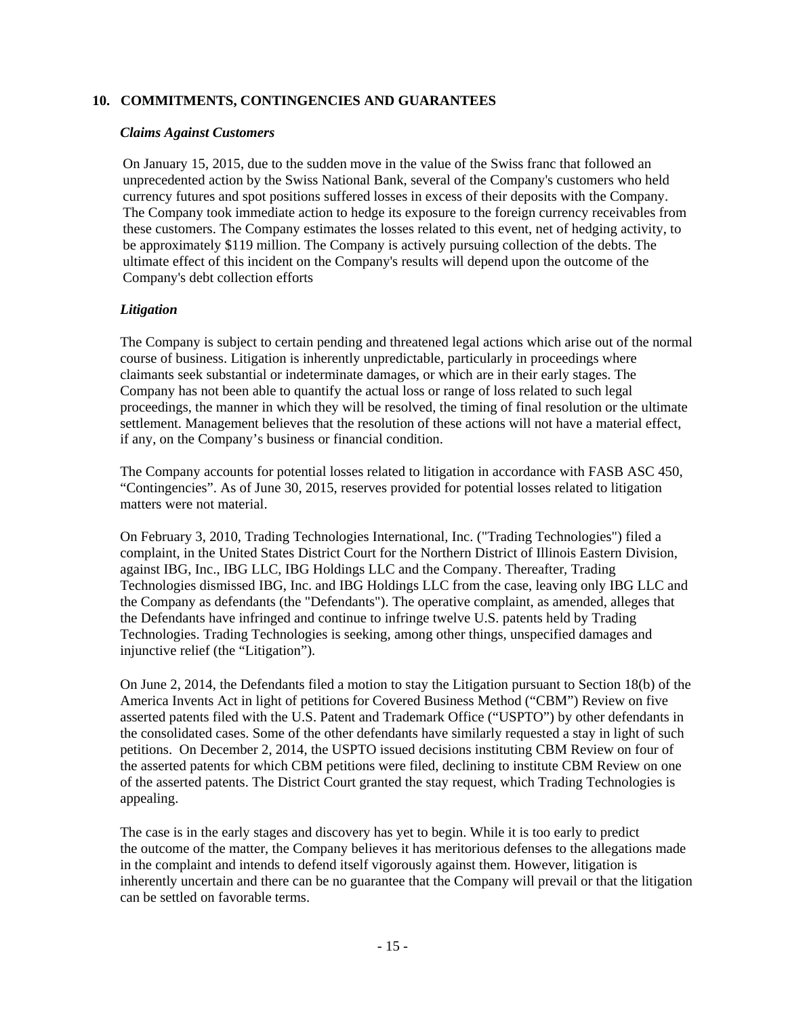#### **10. COMMITMENTS, CONTINGENCIES AND GUARANTEES**

#### *Claims Against Customers*

On January 15, 2015, due to the sudden move in the value of the Swiss franc that followed an unprecedented action by the Swiss National Bank, several of the Company's customers who held currency futures and spot positions suffered losses in excess of their deposits with the Company. The Company took immediate action to hedge its exposure to the foreign currency receivables from these customers. The Company estimates the losses related to this event, net of hedging activity, to be approximately \$119 million. The Company is actively pursuing collection of the debts. The ultimate effect of this incident on the Company's results will depend upon the outcome of the Company's debt collection efforts

# *Litigation*

The Company is subject to certain pending and threatened legal actions which arise out of the normal course of business. Litigation is inherently unpredictable, particularly in proceedings where claimants seek substantial or indeterminate damages, or which are in their early stages. The Company has not been able to quantify the actual loss or range of loss related to such legal proceedings, the manner in which they will be resolved, the timing of final resolution or the ultimate settlement. Management believes that the resolution of these actions will not have a material effect, if any, on the Company's business or financial condition.

The Company accounts for potential losses related to litigation in accordance with FASB ASC 450, "Contingencies". As of June 30, 2015, reserves provided for potential losses related to litigation matters were not material.

On February 3, 2010, Trading Technologies International, Inc. ("Trading Technologies") filed a complaint, in the United States District Court for the Northern District of Illinois Eastern Division, against IBG, Inc., IBG LLC, IBG Holdings LLC and the Company. Thereafter, Trading Technologies dismissed IBG, Inc. and IBG Holdings LLC from the case, leaving only IBG LLC and the Company as defendants (the "Defendants"). The operative complaint, as amended, alleges that the Defendants have infringed and continue to infringe twelve U.S. patents held by Trading Technologies. Trading Technologies is seeking, among other things, unspecified damages and injunctive relief (the "Litigation").

On June 2, 2014, the Defendants filed a motion to stay the Litigation pursuant to Section 18(b) of the America Invents Act in light of petitions for Covered Business Method ("CBM") Review on five asserted patents filed with the U.S. Patent and Trademark Office ("USPTO") by other defendants in the consolidated cases. Some of the other defendants have similarly requested a stay in light of such petitions. On December 2, 2014, the USPTO issued decisions instituting CBM Review on four of the asserted patents for which CBM petitions were filed, declining to institute CBM Review on one of the asserted patents. The District Court granted the stay request, which Trading Technologies is appealing.

The case is in the early stages and discovery has yet to begin. While it is too early to predict the outcome of the matter, the Company believes it has meritorious defenses to the allegations made in the complaint and intends to defend itself vigorously against them. However, litigation is inherently uncertain and there can be no guarantee that the Company will prevail or that the litigation can be settled on favorable terms.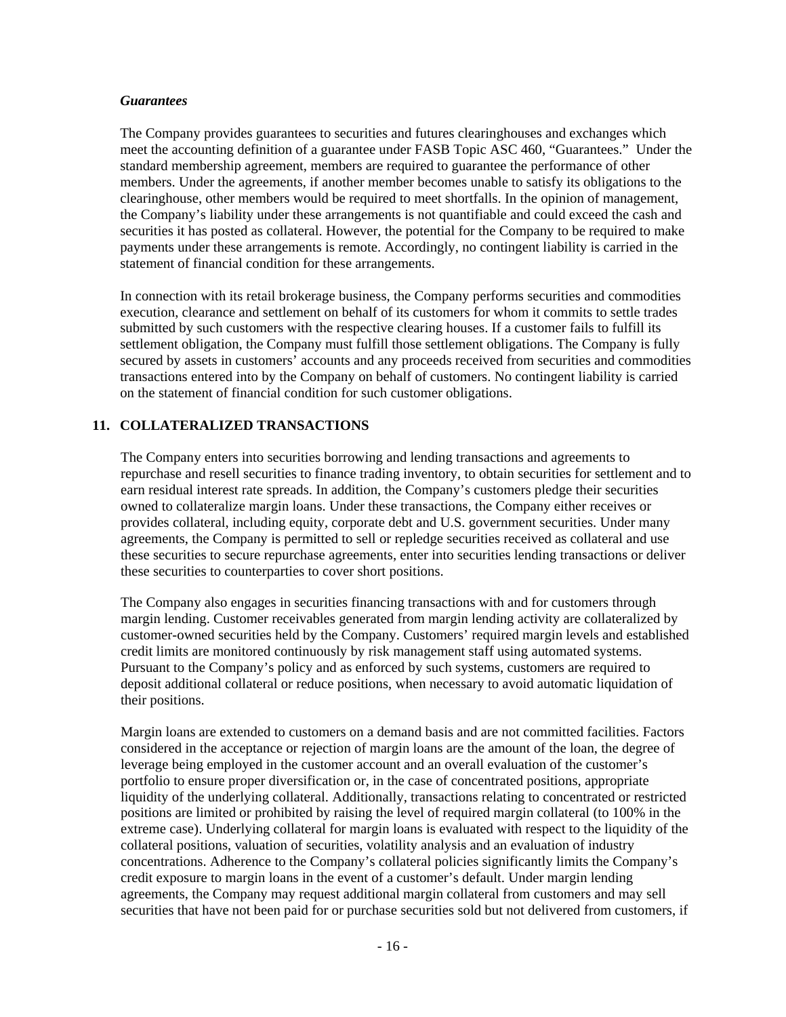#### *Guarantees*

The Company provides guarantees to securities and futures clearinghouses and exchanges which meet the accounting definition of a guarantee under FASB Topic ASC 460, "Guarantees." Under the standard membership agreement, members are required to guarantee the performance of other members. Under the agreements, if another member becomes unable to satisfy its obligations to the clearinghouse, other members would be required to meet shortfalls. In the opinion of management, the Company's liability under these arrangements is not quantifiable and could exceed the cash and securities it has posted as collateral. However, the potential for the Company to be required to make payments under these arrangements is remote. Accordingly, no contingent liability is carried in the statement of financial condition for these arrangements.

In connection with its retail brokerage business, the Company performs securities and commodities execution, clearance and settlement on behalf of its customers for whom it commits to settle trades submitted by such customers with the respective clearing houses. If a customer fails to fulfill its settlement obligation, the Company must fulfill those settlement obligations. The Company is fully secured by assets in customers' accounts and any proceeds received from securities and commodities transactions entered into by the Company on behalf of customers. No contingent liability is carried on the statement of financial condition for such customer obligations.

# **11. COLLATERALIZED TRANSACTIONS**

The Company enters into securities borrowing and lending transactions and agreements to repurchase and resell securities to finance trading inventory, to obtain securities for settlement and to earn residual interest rate spreads. In addition, the Company's customers pledge their securities owned to collateralize margin loans. Under these transactions, the Company either receives or provides collateral, including equity, corporate debt and U.S. government securities. Under many agreements, the Company is permitted to sell or repledge securities received as collateral and use these securities to secure repurchase agreements, enter into securities lending transactions or deliver these securities to counterparties to cover short positions.

The Company also engages in securities financing transactions with and for customers through margin lending. Customer receivables generated from margin lending activity are collateralized by customer-owned securities held by the Company. Customers' required margin levels and established credit limits are monitored continuously by risk management staff using automated systems. Pursuant to the Company's policy and as enforced by such systems, customers are required to deposit additional collateral or reduce positions, when necessary to avoid automatic liquidation of their positions.

Margin loans are extended to customers on a demand basis and are not committed facilities. Factors considered in the acceptance or rejection of margin loans are the amount of the loan, the degree of leverage being employed in the customer account and an overall evaluation of the customer's portfolio to ensure proper diversification or, in the case of concentrated positions, appropriate liquidity of the underlying collateral. Additionally, transactions relating to concentrated or restricted positions are limited or prohibited by raising the level of required margin collateral (to 100% in the extreme case). Underlying collateral for margin loans is evaluated with respect to the liquidity of the collateral positions, valuation of securities, volatility analysis and an evaluation of industry concentrations. Adherence to the Company's collateral policies significantly limits the Company's credit exposure to margin loans in the event of a customer's default. Under margin lending agreements, the Company may request additional margin collateral from customers and may sell securities that have not been paid for or purchase securities sold but not delivered from customers, if